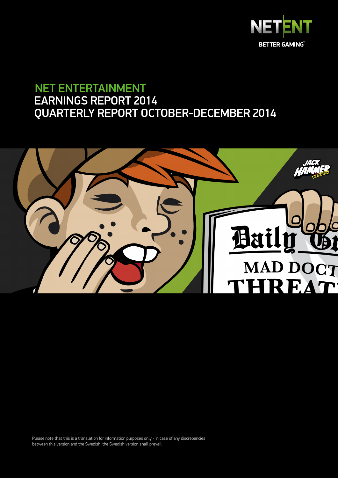

# NET ENTERTAINMENT EARNINGS REPORT 2014 QUARTERLY REPORT OCTOBER-DECEMBER 2014



Please note that this is a translation for information purposes only - in case of any discrepancies between this version and the Swedish, the Swedish version shall prevail.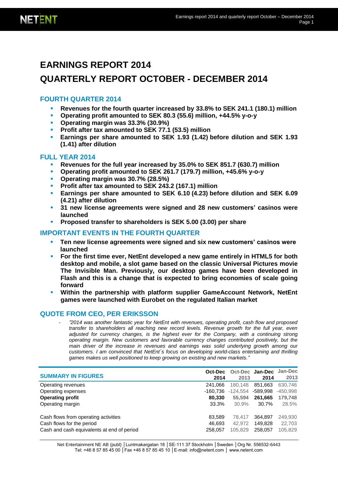# **EARNINGS REPORT 2014**

# **QUARTERLY REPORT OCTOBER - DECEMBER 2014**

### **FOURTH QUARTER 2014**

- **Revenues for the fourth quarter increased by 33.8% to SEK 241.1 (180.1) million**
- **Operating profit amounted to SEK 80.3 (55.6) million, +44.5% y-o-y**
- **Operating margin was 33.3% (30.9%)**
- **Profit after tax amounted to SEK 77.1 (53.5) million**
- **Earnings per share amounted to SEK 1.93 (1.42) before dilution and SEK 1.93 (1.41) after dilution**

### **FULL YEAR 2014**

- **Revenues for the full year increased by 35.0% to SEK 851.7 (630.7) million**
- **Operating profit amounted to SEK 261.7 (179.7) million, +45.6% y-o-y**
- **Operating margin was 30.7% (28.5%)**
- **Profit after tax amounted to SEK 243.2 (167.1) million**
- **Earnings per share amounted to SEK 6.10 (4.23) before dilution and SEK 6.09 (4.21) after dilution**
- **31 new license agreements were signed and 28 new customers' casinos were launched**
- **Proposed transfer to shareholders is SEK 5.00 (3.00) per share**

### **IMPORTANT EVENTS IN THE FOURTH QUARTER**

- **Ten new license agreements were signed and six new customers' casinos were launched**
- **For the first time ever, NetEnt developed a new game entirely in HTML5 for both desktop and mobile, a slot game based on the classic Universal Pictures movie The Invisible Man. Previously, our desktop games have been developed in Flash and this is a change that is expected to bring economies of scale going forward**
- **Within the partnership with platform supplier GameAccount Network, NetEnt games were launched with Eurobet on the regulated Italian market**

### **QUOTE FROM CEO, PER ERIKSSON**

- *"2014 was another fantastic year for NetEnt with revenues, operating profit, cash flow and proposed transfer to shareholders all reaching new record levels. Revenue growth for the full year, even adjusted for currency changes, is the highest ever for the Company, with a continuing strong operating margin. New customers and favorable currency changes contributed positively, but the main driver of the increase in revenues and earnings was solid underlying growth among our customers. I am convinced that NetEnt´s focus on developing world-class entertaining and thrilling games makes us well positioned to keep growing on existing and new markets."*

| <b>SUMMARY IN FIGURES</b>                  | Oct-Dec<br>2014 | Oct-Dec<br>2013 | Jan-Dec<br>2014 | Jan-Dec<br>2013 |
|--------------------------------------------|-----------------|-----------------|-----------------|-----------------|
| Operating revenues                         | 241.066         | 180.148         | 851.663         | 630.746         |
| Operating expenses                         | -160.736        | $-124.554$      | -589.998        | $-450,998$      |
| <b>Operating profit</b>                    | 80.330          | 55,594          | 261.665         | 179.748         |
| Operating margin                           | 33.3%           | 30.9%           | 30.7%           | 28.5%           |
| Cash flows from operating activities       | 83.589          | 78.417          | 364.897         | 249,930         |
| Cash flows for the period                  | 46.693          | 42.972          | 149.828         | 22,703          |
| Cash and cash equivalents at end of period | 258,057         | 105.829         | 258.057         | 105,829         |

Net Entertainment NE AB (publ) | Luntmakargatan 18 | SE-111 37 Stockholm | Sweden | Org Nr. 556532-6443 Tel: +46 8 57 85 45 00 │Fax +46 8 57 85 45 10 │E-mail: info@netent.com │ www.netent.com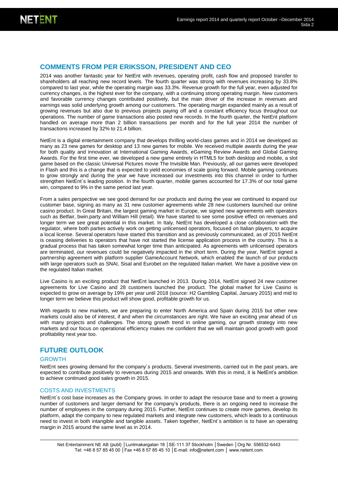### **COMMENTS FROM PER ERIKSSON, PRESIDENT AND CEO**

2014 was another fantastic year for NetEnt with revenues, operating profit, cash flow and proposed transfer to shareholders all reaching new record levels. The fourth quarter was strong with revenues increasing by 33.8% compared to last year, while the operating margin was 33.3%. Revenue growth for the full year, even adjusted for currency changes, is the highest ever for the company, with a continuing strong operating margin. New customers and favorable currency changes contributed positively, but the main driver of the increase in revenues and earnings was solid underlying growth among our customers. The operating margin expanded mainly as a result of growing revenues but also due to previous projects paying off and a constant efficiency focus throughout our operations. The number of game transactions also posted new records. In the fourth quarter, the NetEnt platform handled on average more than 2 billion transactions per month and for the full year 2014 the number of transactions increased by 32% to 21.4 billion.

NetEnt is a digital entertainment company that develops thrilling world-class games and in 2014 we developed as many as 23 new games for desktop and 13 new games for mobile. We received multiple awards during the year for both quality and innovation at International Gaming Awards, eGaming Review Awards and Global Gaming Awards. For the first time ever, we developed a new game entirely in HTML5 for both desktop and mobile, a slot game based on the classic Universal Pictures movie The Invisible Man. Previously, all our games were developed in Flash and this is a change that is expected to yield economies of scale going forward. Mobile gaming continues to grow strongly and during the year we have increased our investments into this channel in order to further strengthen NetEnt´s leading position. In the fourth quarter, mobile games accounted for 17.3% of our total game win, compared to 9% in the same period last year.

From a sales perspective we see good demand for our products and during the year we continued to expand our customer base, signing as many as 31 new customer agreements while 28 new customers launched our online casino product. In Great Britain, the largest gaming market in Europe, we signed new agreements with operators such as Betfair, bwin.party and William Hill (retail). We have started to see some positive effect on revenues and longer term we see great potential in this market. In Italy, NetEnt has developed a close collaboration with the regulator, where both parties actively work on getting unlicensed operators, focused on Italian players, to acquire a local license. Several operators have started this transition and as previously communicated, as of 2015 NetEnt is ceasing deliveries to operators that have not started the license application process in the country. This is a gradual process that has taken somewhat longer time than anticipated. As agreements with unlicensed operators are terminated, our revenues could be negatively impacted in the short term. During the year, NetEnt signed a partnership agreement with platform supplier GameAccount Network, which enabled the launch of our products with large operators such as SNAI, Sisal and Eurobet on the regulated Italian market. We have a positive view on the regulated Italian market.

Live Casino is an exciting product that NetEnt launched in 2013. During 2014, NetEnt signed 24 new customer agreements for Live Casino and 28 customers launched the product. The global market for Live Casino is expected to grow on average by 19% per year until 2018 (source: H2 Gambling Capital, January 2015) and mid to longer term we believe this product will show good, profitable growth for us.

With regards to new markets, we are preparing to enter North America and Spain during 2015 but other new markets could also be of interest, if and when the circumstances are right. We have an exciting year ahead of us with many projects and challenges. The strong growth trend in online gaming, our growth strategy into new markets and our focus on operational efficiency makes me confident that we will maintain good growth with good profitability next year too.

### **FUTURE OUTLOOK**

#### GROWTH

NetEnt sees growing demand for the company´s products. Several investments, carried out in the past years, are expected to contribute positively to revenues during 2015 and onwards. With this in mind, it is NetEnt's ambition to achieve continued good sales growth in 2015.

#### COSTS AND INVESTMENTS

NetEnt´s cost base increases as the Company grows. In order to adapt the resource base and to meet a growing number of customers and larger demand for the company's products, there is an ongoing need to increase the number of employees in the company during 2015. Further, NetEnt continues to create more games, develop its platform, adapt the company to new regulated markets and integrate new customers, which leads to a continuous need to invest in both intangible and tangible assets. Taken together, NetEnt´s ambition is to have an operating margin in 2015 around the same level as in 2014.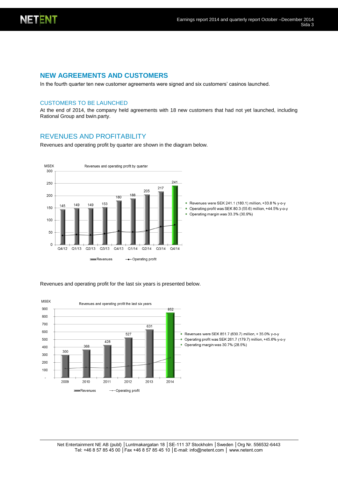

### **NEW AGREEMENTS AND CUSTOMERS**

In the fourth quarter ten new customer agreements were signed and six customers' casinos launched.

#### CUSTOMERS TO BE LAUNCHED

At the end of 2014, the company held agreements with 18 new customers that had not yet launched, including Rational Group and bwin.party.

### REVENUES AND PROFITABILITY

Revenues and operating profit by quarter are shown in the diagram below.



Revenues and operating profit for the last six years is presented below.

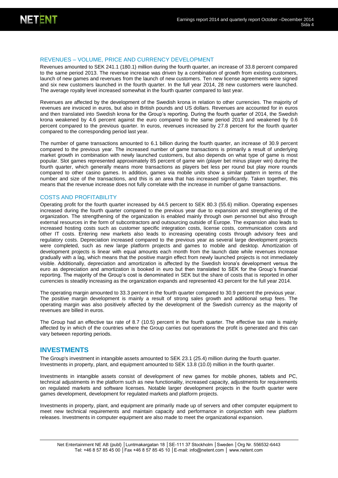#### REVENUES – VOLUME, PRICE AND CURRENCY DEVELOPMENT

Revenues amounted to SEK 241.1 (180.1) million during the fourth quarter, an increase of 33.8 percent compared to the same period 2013. The revenue increase was driven by a combination of growth from existing customers, launch of new games and revenues from the launch of new customers. Ten new license agreements were signed and six new customers launched in the fourth quarter. In the full year 2014, 28 new customers were launched. The average royalty level increased somewhat in the fourth quarter compared to last year.

Revenues are affected by the development of the Swedish krona in relation to other currencies. The majority of revenues are invoiced in euros, but also in British pounds and US dollars. Revenues are accounted for in euros and then translated into Swedish krona for the Group's reporting. During the fourth quarter of 2014, the Swedish krona weakened by 4.6 percent against the euro compared to the same period 2013 and weakened by 0.6 percent compared to the previous quarter. In euros, revenues increased by 27.8 percent for the fourth quarter compared to the corresponding period last year.

The number of game transactions amounted to 6.1 billion during the fourth quarter, an increase of 30.9 percent compared to the previous year. The increased number of game transactions is primarily a result of underlying market growth in combination with newly launched customers, but also depends on what type of game is most popular. Slot games represented approximately 85 percent of game win (player bet minus player win) during the fourth quarter, which generally means more transactions as players bet less per round but play more rounds compared to other casino games. In addition, games via mobile units show a similar pattern in terms of the number and size of the transactions, and this is an area that has increased significantly. Taken together, this means that the revenue increase does not fully correlate with the increase in number of game transactions.

#### COSTS AND PROFITABILITY

Operating profit for the fourth quarter increased by 44.5 percent to SEK 80.3 (55.6) million. Operating expenses increased during the fourth quarter compared to the previous year due to expansion and strengthening of the organization. The strengthening of the organization is enabled mainly through own personnel but also through external resources in the form of subcontractors and outsourcing outside of Europe. The expansion also leads to increased hosting costs such as customer specific integration costs, license costs, communication costs and other IT costs. Entering new markets also leads to increasing operating costs through advisory fees and regulatory costs. Depreciation increased compared to the previous year as several large development projects were completed, such as new large platform projects and games to mobile and desktop. Amortization of development projects is linear with equal amounts each month from the launch date while revenues increase gradually with a lag, which means that the positive margin effect from newly launched projects is not immediately visible. Additionally, depreciation and amortization is affected by the Swedish krona's development versus the euro as depreciation and amortization is booked in euro but then translated to SEK for the Group's financial reporting. The majority of the Group's cost is denominated in SEK but the share of costs that is reported in other currencies is steadily increasing as the organization expands and represented 43 percent for the full year 2014.

The operating margin amounted to 33.3 percent in the fourth quarter compared to 30.9 percent the previous year. The positive margin development is mainly a result of strong sales growth and additional setup fees. The operating margin was also positively affected by the development of the Swedish currency as the majority of revenues are billed in euros.

The Group had an effective tax rate of 8.7 (10.5) percent in the fourth quarter. The effective tax rate is mainly affected by in which of the countries where the Group carries out operations the profit is generated and this can vary between reporting periods.

#### **INVESTMENTS**

The Group's investment in intangible assets amounted to SEK 23.1 (25.4) million during the fourth quarter. Investments in property, plant, and equipment amounted to SEK 13.8 (10.0) million in the fourth quarter.

Investments in intangible assets consist of development of new games for mobile phones, tablets and PC, technical adjustments in the platform such as new functionality, increased capacity, adjustments for requirements on regulated markets and software licenses. Notable larger development projects in the fourth quarter were games development, development for regulated markets and platform projects.

Investments in property, plant, and equipment are primarily made up of servers and other computer equipment to meet new technical requirements and maintain capacity and performance in conjunction with new platform releases. Investments in computer equipment are also made to meet the organizational expansion.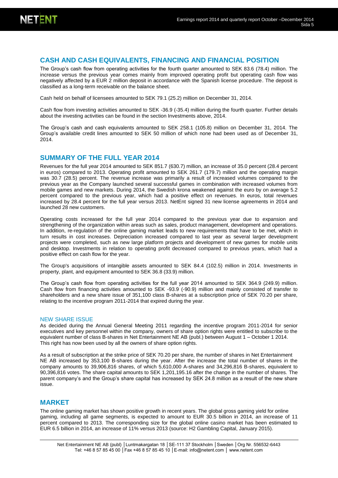### **CASH AND CASH EQUIVALENTS, FINANCING AND FINANCIAL POSITION**

The Group's cash flow from operating activities for the fourth quarter amounted to SEK 83.6 (78.4) million. The increase versus the previous year comes mainly from improved operating profit but operating cash flow was negatively affected by a EUR 2 million deposit in accordance with the Spanish license procedure. The deposit is classified as a long-term receivable on the balance sheet.

Cash held on behalf of licensees amounted to SEK 79.1 (25.2) million on December 31, 2014.

Cash flow from investing activities amounted to SEK -36.9 (-35.4) million during the fourth quarter. Further details about the investing activities can be found in the section Investments above, 2014.

The Group's cash and cash equivalents amounted to SEK 258.1 (105.8) million on December 31, 2014. The Group's available credit lines amounted to SEK 50 million of which none had been used as of December 31, 2014.

#### **SUMMARY OF THE FULL YEAR 2014**

Revenues for the full year 2014 amounted to SEK 851.7 (630.7) million, an increase of 35.0 percent (28.4 percent in euros) compared to 2013. Operating profit amounted to SEK 261.7 (179.7) million and the operating margin was 30.7 (28.5) percent. The revenue increase was primarily a result of increased volumes compared to the previous year as the Company launched several successful games in combination with increased volumes from mobile games and new markets. During 2014, the Swedish krona weakened against the euro by on average 5.2 percent compared to the previous year, which had a positive effect on revenues. In euros, total revenues increased by 28.4 percent for the full year versus 2013. NetEnt signed 31 new license agreements in 2014 and launched 28 new customers.

Operating costs increased for the full year 2014 compared to the previous year due to expansion and strengthening of the organization within areas such as sales, product management, development and operations. In addition, re-regulation of the online gaming market leads to new requirements that have to be met, which in turn results in cost increases. Depreciation increased compared to last year as several larger development projects were completed, such as new large platform projects and development of new games for mobile units and desktop. Investments in relation to operating profit decreased compared to previous years, which had a positive effect on cash flow for the year.

The Group's acquisitions of intangible assets amounted to SEK 84.4 (102.5) million in 2014. Investments in property, plant, and equipment amounted to SEK 36.8 (33.9) million.

The Group's cash flow from operating activities for the full year 2014 amounted to SEK 364.9 (249.9) million. Cash flow from financing activities amounted to SEK -93.9 (-90.9) million and mainly consisted of transfer to shareholders and a new share issue of 351,100 class B-shares at a subscription price of SEK 70.20 per share, relating to the incentive program 2011-2014 that expired during the year.

#### NEW SHARE ISSUE

As decided during the Annual General Meeting 2011 regarding the incentive program 2011-2014 for senior executives and key personnel within the company, owners of share option rights were entitled to subscribe to the equivalent number of class B-shares in Net Entertainment NE AB (publ.) between August 1 – October 1 2014. This right has now been used by all the owners of share option rights.

As a result of subscription at the strike price of SEK 70.20 per share, the number of shares in Net Entertainment NE AB increased by 353,100 B-shares during the year. After the increase the total number of shares in the company amounts to 39,906,816 shares, of which 5,610,000 A-shares and 34,296,816 B-shares, equivalent to 90,396,816 votes. The share capital amounts to SEK 1,201,195.16 after the change in the number of shares. The parent company's and the Group's share capital has increased by SEK 24.8 million as a result of the new share issue.

#### **MARKET**

The online gaming market has shown positive growth in recent years. The global gross gaming yield for online gaming, including all game segments, is expected to amount to EUR 30.5 billion in 2014, an increase of 11 percent compared to 2013. The corresponding size for the global online casino market has been estimated to EUR 6.5 billion in 2014, an increase of 11% versus 2013 (source: H2 Gambling Capital, January 2015).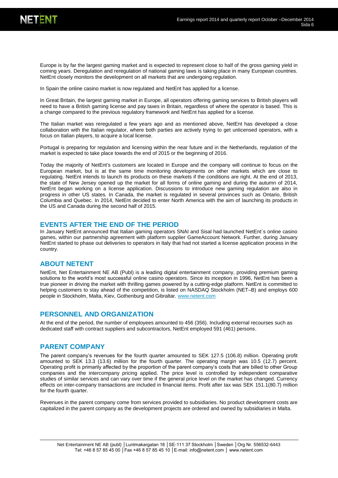

Europe is by far the largest gaming market and is expected to represent close to half of the gross gaming yield in coming years. Deregulation and reregulation of national gaming laws is taking place in many European countries. NetEnt closely monitors the development on all markets that are undergoing regulation.

In Spain the online casino market is now regulated and NetEnt has applied for a license.

In Great Britain, the largest gaming market in Europe, all operators offering gaming services to British players will need to have a British gaming license and pay taxes in Britain, regardless of where the operator is based. This is a change compared to the previous regulatory framework and NetEnt has applied for a license.

The Italian market was reregulated a few years ago and as mentioned above, NetEnt has developed a close collaboration with the Italian regulator, where both parties are actively trying to get unlicensed operators, with a focus on Italian players, to acquire a local license.

Portugal is preparing for regulation and licensing within the near future and in the Netherlands, regulation of the market is expected to take place towards the end of 2015 or the beginning of 2016.

Today the majority of NetEnt's customers are located in Europe and the company will continue to focus on the European market, but is at the same time monitoring developments on other markets which are close to regulating. NetEnt intends to launch its products on these markets if the conditions are right. At the end of 2013, the state of New Jersey opened up the market for all forms of online gaming and during the autumn of 2014, NetEnt began working on a license application. Discussions to introduce new gaming regulation are also in progress in other US states. In Canada, the market is regulated in several provinces such as Ontario, British Columbia and Quebec. In 2014, NetEnt decided to enter North America with the aim of launching its products in the US and Canada during the second half of 2015.

#### **EVENTS AFTER THE END OF THE PERIOD**

In January NetEnt announced that Italian gaming operators SNAI and Sisal had launched NetEnt´s online casino games, within our partnership agreement with platform supplier GameAccount Network. Further, during January NetEnt started to phase out deliveries to operators in Italy that had not started a license application process in the country.

#### **ABOUT NETENT**

NetEnt, Net Entertainment NE AB (Publ) is a leading digital entertainment company, providing premium gaming solutions to the world's most successful online casino operators. Since its inception in 1996, NetEnt has been a true pioneer in driving the market with thrilling games powered by a cutting-edge platform. NetEnt is committed to helping customers to stay ahead of the competition, is listed on NASDAQ Stockholm (NET–B) and employs 600 people in Stockholm, Malta, Kiev, Gothenburg and Gibraltar. [www.netent.com](http://www.netent.com/)

#### **PERSONNEL AND ORGANIZATION**

At the end of the period, the number of employees amounted to 456 (356). Including external recourses such as dedicated staff with contract suppliers and subcontractors, NetEnt employed 591 (461) persons.

#### **PARENT COMPANY**

The parent company's revenues for the fourth quarter amounted to SEK 127.5 (106.8) million. Operating profit amounted to SEK 13.3 (13.6) million for the fourth quarter. The operating margin was 10.5 (12.7) percent. Operating profit is primarily affected by the proportion of the parent company's costs that are billed to other Group companies and the intercompany pricing applied. The price level is controlled by independent comparative studies of similar services and can vary over time if the general price level on the market has changed. Currency effects on inter-company transactions are included in financial items. Profit after tax was SEK 151.1(80.7) million for the fourth quarter.

Revenues in the parent company come from services provided to subsidiaries. No product development costs are capitalized in the parent company as the development projects are ordered and owned by subsidiaries in Malta.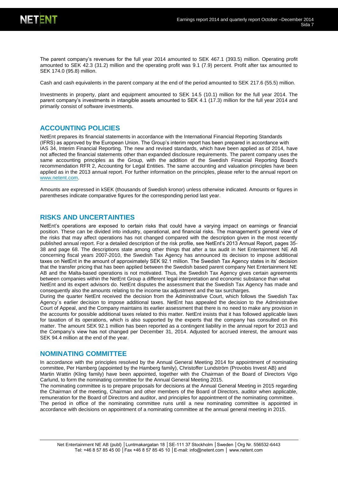

The parent company's revenues for the full year 2014 amounted to SEK 467.1 (393.5) million. Operating profit amounted to SEK 42.3 (31.2) million and the operating profit was 9.1 (7.9) percent. Profit after tax amounted to SEK 174.0 (95.8) million.

Cash and cash equivalents in the parent company at the end of the period amounted to SEK 217.6 (55.5) million.

Investments in property, plant and equipment amounted to SEK 14.5 (10.1) million for the full year 2014. The parent company's investments in intangible assets amounted to SEK 4.1 (17.3) million for the full year 2014 and primarily consist of software investments.

#### **ACCOUNTING POLICIES**

NetEnt prepares its financial statements in accordance with the International Financial Reporting Standards (IFRS) as approved by the European Union. The Group's interim report has been prepared in accordance with IAS 34, Interim Financial Reporting. The new and revised standards, which have been applied as of 2014, have not affected the financial statements other than expanded disclosure requirements. The parent company uses the same accounting principles as the Group, with the addition of the Swedish Financial Reporting Board's recommendation RFR 2, Accounting for Legal Entities. The same accounting and valuation principles have been applied as in the 2013 annual report. For further information on the principles, please refer to the annual report on [www.netent.com.](http://www.netent.com/)

Amounts are expressed in kSEK (thousands of Swedish kronor) unless otherwise indicated. Amounts or figures in parentheses indicate comparative figures for the corresponding period last year.

#### **RISKS AND UNCERTAINTIES**

NetEnt's operations are exposed to certain risks that could have a varying impact on earnings or financial position. These can be divided into industry, operational, and financial risks. The management's general view of the risks that may affect operations has not changed compared with the description given in the most recently published annual report. For a detailed description of the risk profile, see NetEnt's 2013 Annual Report, pages 35- 38 and page 68. The descriptions state among other things that after a tax audit in Net Entertainment NE AB concerning fiscal years 2007-2010, the Swedish Tax Agency has announced its decision to impose additional taxes on NetEnt in the amount of approximately SEK 92.1 million. The Swedish Tax Agency states in its' decision that the transfer pricing that has been applied between the Swedish based parent company Net Entertainment NE AB and the Malta-based operations is not motivated. Thus, the Swedish Tax Agency gives certain agreements between companies within the NetEnt Group a different legal interpretation and economic substance than what NetEnt and its expert advisors do. NetEnt disputes the assessment that the Swedish Tax Agency has made and consequently also the amounts relating to the income tax adjustment and the tax surcharges.

During the quarter NetEnt received the decision from the Administrative Court, which follows the Swedish Tax Agency´s earlier decision to impose additional taxes. NetEnt has appealed the decision to the Administrative Court of Appeal, and the Company maintains its earlier assessment that there is no need to make any provision in the accounts for possible additional taxes related to this matter. NetEnt insists that it has followed applicable laws for taxation of its operations, which is also supported by the experts that the company has consulted on this matter. The amount SEK 92.1 million has been reported as a contingent liability in the annual report for 2013 and the Company's view has not changed per December 31, 2014. Adjusted for accrued interest, the amount was SEK 94.4 million at the end of the year.

#### **NOMINATING COMMITTEE**

In accordance with the principles resolved by the Annual General Meeting 2014 for appointment of nominating committee, Per Hamberg (appointed by the Hamberg family), Christoffer Lundström (Provobis Invest AB) and Martin Wattin (Kling family) have been appointed, together with the Chairman of the Board of Directors Vigo Carlund, to form the nominating committee for the Annual General Meeting 2015.

The nominating committee is to prepare proposals for decisions at the Annual General Meeting in 2015 regarding the Chairman of the meeting, Chairman and other members of the Board of Directors, auditor when applicable, remuneration for the Board of Directors and auditor, and principles for appointment of the nominating committee. The period in office of the nominating committee runs until a new nominating committee is appointed in accordance with decisions on appointment of a nominating committee at the annual general meeting in 2015.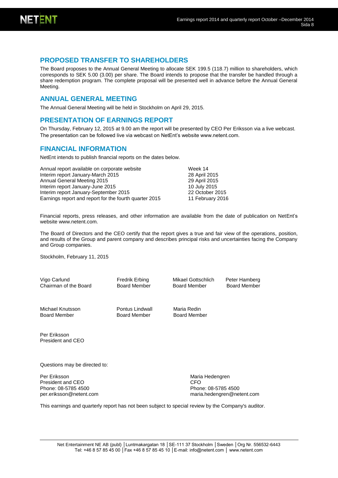

### **PROPOSED TRANSFER TO SHAREHOLDERS**

The Board proposes to the Annual General Meeting to allocate SEK 199.5 (118.7) million to shareholders, which corresponds to SEK 5.00 (3.00) per share. The Board intends to propose that the transfer be handled through a share redemption program. The complete proposal will be presented well in advance before the Annual General Meeting.

#### **ANNUAL GENERAL MEETING**

The Annual General Meeting will be held in Stockholm on April 29, 2015.

#### **PRESENTATION OF EARNINGS REPORT**

On Thursday, February 12, 2015 at 9.00 am the report will be presented by CEO Per Eriksson via a live webcast. The presentation can be followed live via webcast on NetEnt's website www.netent.com.

### **FINANCIAL INFORMATION**

NetEnt intends to publish financial reports on the dates below.

| Annual report available on corporate website           | Week 14          |
|--------------------------------------------------------|------------------|
| Interim report January-March 2015                      | 28 April 2015    |
| Annual General Meeting 2015                            | 29 April 2015    |
| Interim report January-June 2015                       | 10 July 2015     |
| Interim report January-September 2015                  | 22 October 2015  |
| Earnings report and report for the fourth quarter 2015 | 11 February 2016 |

Financial reports, press releases, and other information are available from the date of publication on NetEnt's website www.netent.com.

The Board of Directors and the CEO certify that the report gives a true and fair view of the operations, position, and results of the Group and parent company and describes principal risks and uncertainties facing the Company and Group companies.

Stockholm, February 11, 2015

Vigo Carlund Chairman of the Board Fredrik Erbing Board Member Mikael Gottschlich Peter Hamberg<br>Board Member Board Member **Board Member** 

Michael Knutsson Board Member

Pontus Lindwall Board Member

Maria Redin Board Member

Per Eriksson President and CEO

Questions may be directed to:

Per Eriksson President and CEO Phone: 08-5785 4500 per.eriksson@netent.com Maria Hedengren CFO Phone: 08-5785 4500 [maria.hedengren@netent.com](mailto:maria.hedengren@netent.com)

This earnings and quarterly report has not been subject to special review by the Company's auditor.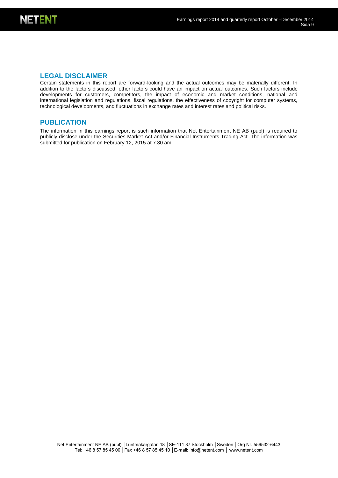

### **LEGAL DISCLAIMER**

Certain statements in this report are forward-looking and the actual outcomes may be materially different. In addition to the factors discussed, other factors could have an impact on actual outcomes. Such factors include developments for customers, competitors, the impact of economic and market conditions, national and international legislation and regulations, fiscal regulations, the effectiveness of copyright for computer systems, technological developments, and fluctuations in exchange rates and interest rates and political risks.

### **PUBLICATION**

The information in this earnings report is such information that Net Entertainment NE AB (publ) is required to publicly disclose under the Securities Market Act and/or Financial Instruments Trading Act. The information was submitted for publication on February 12, 2015 at 7.30 am.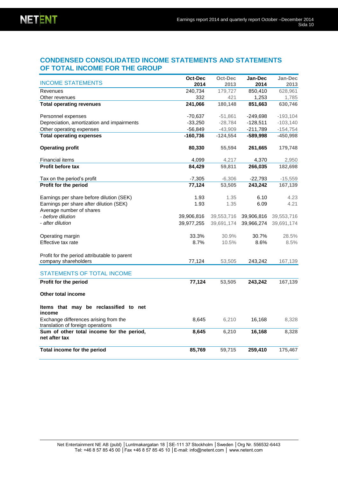### **CONDENSED CONSOLIDATED INCOME STATEMENTS AND STATEMENTS OF TOTAL INCOME FOR THE GROUP**

|                                                                            | Oct-Dec    | Oct-Dec    | Jan-Dec    | Jan-Dec    |
|----------------------------------------------------------------------------|------------|------------|------------|------------|
| <b>INCOME STATEMENTS</b>                                                   | 2014       | 2013       | 2014       | 2013       |
| Revenues                                                                   | 240,734    | 179,727    | 850,410    | 628,961    |
| Other revenues                                                             | 332        | 421        | 1,253      | 1,785      |
| <b>Total operating revenues</b>                                            | 241,066    | 180,148    | 851,663    | 630,746    |
| Personnel expenses                                                         | -70,637    | $-51,861$  | $-249,698$ | $-193,104$ |
| Depreciation, amortization and impairments                                 | $-33,250$  | $-28,784$  | $-128,511$ | $-103,140$ |
| Other operating expenses                                                   | $-56,849$  | $-43,909$  | $-211,789$ | $-154,754$ |
| <b>Total operating expenses</b>                                            | $-160,736$ | $-124,554$ | $-589,998$ | $-450,998$ |
| <b>Operating profit</b>                                                    | 80,330     | 55,594     | 261,665    | 179,748    |
| <b>Financial items</b>                                                     | 4,099      | 4,217      | 4,370      | 2,950      |
| <b>Profit before tax</b>                                                   | 84,429     | 59,811     | 266,035    | 182,698    |
| Tax on the period's profit                                                 | $-7,305$   | $-6,306$   | $-22,793$  | $-15,559$  |
| Profit for the period                                                      | 77,124     | 53,505     | 243,242    | 167,139    |
| Earnings per share before dilution (SEK)                                   | 1.93       | 1.35       | 6.10       | 4.23       |
| Earnings per share after dilution (SEK)                                    | 1.93       | 1.35       | 6.09       | 4.21       |
| Average number of shares                                                   |            |            |            |            |
| - before dilution                                                          | 39,906,816 | 39,553,716 | 39,906,816 | 39,553,716 |
| - after dilution                                                           | 39,977,255 | 39,691,174 | 39,966,274 | 39,691,174 |
| Operating margin                                                           | 33.3%      | 30.9%      | 30.7%      | 28.5%      |
| Effective tax rate                                                         | 8.7%       | 10.5%      | 8.6%       | 8.5%       |
| Profit for the period attributable to parent                               |            |            |            |            |
| company shareholders                                                       | 77,124     | 53,505     | 243,242    | 167,139    |
| <b>STATEMENTS OF TOTAL INCOME</b>                                          |            |            |            |            |
| Profit for the period                                                      | 77,124     | 53,505     | 243,242    | 167,139    |
| Other total income                                                         |            |            |            |            |
| Items that may be reclassified to net<br>income                            |            |            |            |            |
| Exchange differences arising from the<br>translation of foreign operations | 8,645      | 6,210      | 16,168     | 8,328      |
| Sum of other total income for the period,<br>net after tax                 | 8,645      | 6,210      | 16,168     | 8,328      |
| Total income for the period                                                | 85,769     | 59,715     | 259,410    | 175,467    |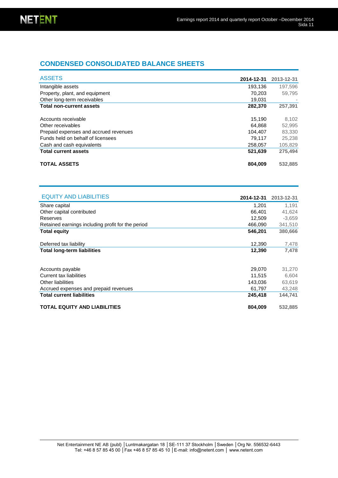### **CONDENSED CONSOLIDATED BALANCE SHEETS**

| <b>ASSETS</b>                         | 2014-12-31 | 2013-12-31 |
|---------------------------------------|------------|------------|
| Intangible assets                     | 193.136    | 197,596    |
| Property, plant, and equipment        | 70.203     | 59.795     |
| Other long-term receivables           | 19.031     |            |
| <b>Total non-current assets</b>       | 282,370    | 257,391    |
| Accounts receivable                   | 15.190     | 8,102      |
| Other receivables                     | 64.868     | 52,995     |
| Prepaid expenses and accrued revenues | 104.407    | 83,330     |
| Funds held on behalf of licensees     | 79.117     | 25.238     |
| Cash and cash equivalents             | 258,057    | 105,829    |
| <b>Total current assets</b>           | 521.639    | 275.494    |
| <b>TOTAL ASSETS</b>                   | 804.009    | 532,885    |

| <b>EQUITY AND LIABILITIES</b>                     | 2014-12-31 | 2013-12-31 |
|---------------------------------------------------|------------|------------|
| Share capital                                     | 1.201      | 1.191      |
| Other capital contributed                         | 66.401     | 41,624     |
| Reserves                                          | 12,509     | $-3,659$   |
| Retained earnings including profit for the period | 466,090    | 341,510    |
| <b>Total equity</b>                               | 546,201    | 380,666    |
|                                                   |            |            |
| Deferred tax liability                            | 12,390     | 7,478      |
| <b>Total long-term liabilities</b>                | 12,390     | 7,478      |
|                                                   |            |            |
| Accounts payable                                  | 29,070     | 31,270     |
| Current tax liabilities                           | 11.515     | 6,604      |
| Other liabilities                                 | 143.036    | 63,619     |
| Accrued expenses and prepaid revenues             | 61,797     | 43,248     |
| <b>Total current liabilities</b>                  | 245,418    | 144,741    |
| <b>TOTAL EQUITY AND LIABILITIES</b>               | 804,009    | 532,885    |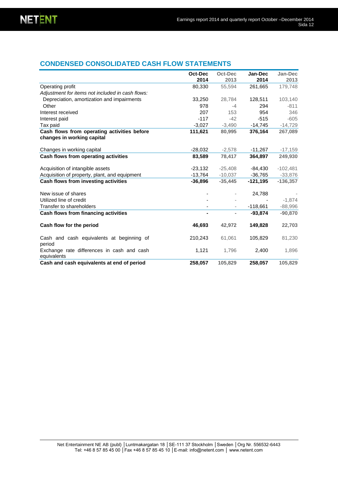### **CONDENSED CONSOLIDATED CASH FLOW STATEMENTS**

|                                                                           | Oct-Dec<br>2014 | Oct-Dec<br>2013 | Jan-Dec<br>2014 | Jan-Dec<br>2013 |
|---------------------------------------------------------------------------|-----------------|-----------------|-----------------|-----------------|
| Operating profit                                                          | 80,330          | 55.594          | 261,665         | 179,748         |
| Adjustment for items not included in cash flows:                          |                 |                 |                 |                 |
| Depreciation, amortization and impairments                                | 33,250          | 28,784          | 128,511         | 103,140         |
| Other                                                                     | 978             | $-4$            | 294             | $-811$          |
| Interest received                                                         | 207             | 153             | 954             | 346             |
| Interest paid                                                             | $-117$          | $-42$           | $-515$          | $-605$          |
| Tax paid                                                                  | $-3,027$        | $-3,490$        | $-14,745$       | $-14,729$       |
| Cash flows from operating activities before<br>changes in working capital | 111,621         | 80,995          | 376,164         | 267,089         |
|                                                                           |                 |                 |                 |                 |
| Changes in working capital                                                | $-28,032$       | $-2,578$        | $-11,267$       | $-17,159$       |
| Cash flows from operating activities                                      | 83,589          | 78,417          | 364,897         | 249,930         |
| Acquisition of intangible assets                                          | $-23,132$       | $-25,408$       | $-84,430$       | $-102,481$      |
| Acquisition of property, plant, and equipment                             | $-13,764$       | $-10,037$       | $-36,765$       | $-33,876$       |
| Cash flows from investing activities                                      | $-36,896$       | $-35,445$       | $-121,195$      | $-136,357$      |
| New issue of shares                                                       |                 |                 | 24,788          |                 |
| Utilized line of credit                                                   |                 |                 |                 | $-1,874$        |
| Transfer to shareholders                                                  |                 |                 | $-118,661$      | $-88,996$       |
| Cash flows from financing activities                                      | -               |                 | $-93.874$       | $-90,870$       |
| Cash flow for the period                                                  | 46,693          | 42,972          | 149,828         | 22,703          |
| Cash and cash equivalents at beginning of<br>period                       | 210,243         | 61,061          | 105,829         | 81,230          |
| Exchange rate differences in cash and cash<br>equivalents                 | 1,121           | 1,796           | 2,400           | 1,896           |
| Cash and cash equivalents at end of period                                | 258,057         | 105,829         | 258.057         | 105.829         |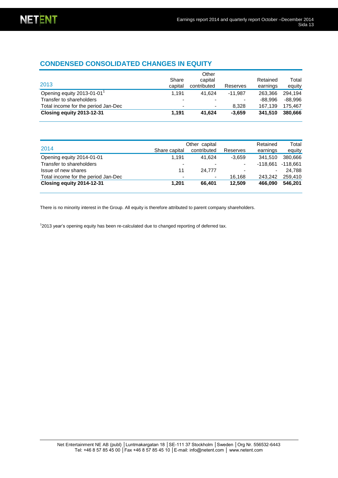### **CONDENSED CONSOLIDATED CHANGES IN EQUITY**

| 2013                                   | Share<br>capital         | Other<br>capital<br>contributed | Reserves  | Retained<br>earnings | Total<br>equity |
|----------------------------------------|--------------------------|---------------------------------|-----------|----------------------|-----------------|
| Opening equity 2013-01-01 <sup>1</sup> | 1.191                    | 41.624                          | $-11.987$ | 263.366              | 294.194         |
| Transfer to shareholders               | -                        |                                 | ۰         | -88.996              | $-88.996$       |
| Total income for the period Jan-Dec    | $\overline{\phantom{0}}$ | ٠                               | 8.328     | 167.139              | 175.467         |
| Closing equity 2013-12-31              | 1.191                    | 41.624                          | $-3.659$  | 341.510              | 380,666         |

| 2014                                | Share capital            | Other capital<br>contributed | Reserves                 | Retained<br>earnings | Total<br>equity |
|-------------------------------------|--------------------------|------------------------------|--------------------------|----------------------|-----------------|
| Opening equity 2014-01-01           | 1.191                    | 41.624                       | $-3.659$                 | 341.510              | 380.666         |
| Transfer to shareholders            | $\overline{\phantom{0}}$ |                              | ٠                        | $-118.661$           | $-118.661$      |
| Issue of new shares                 | 11                       | 24.777                       | $\overline{\phantom{0}}$ | ۰.                   | 24.788          |
| Total income for the period Jan-Dec | $\overline{\phantom{0}}$ | ۰                            | 16.168                   | 243.242              | 259,410         |
| Closing equity 2014-12-31           | 1,201                    | 66.401                       | 12,509                   | 466.090              | 546.201         |

There is no minority interest in the Group. All equity is therefore attributed to parent company shareholders.

<sup>1</sup>2013 year's opening equity has been re-calculated due to changed reporting of deferred tax.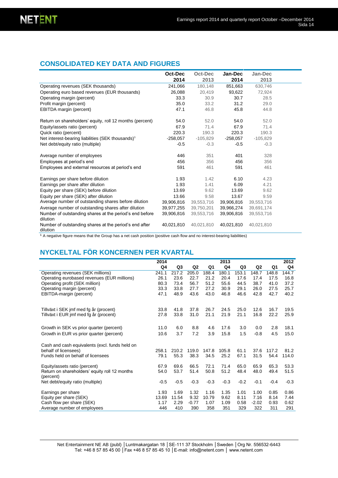### **CONSOLIDATED KEY DATA AND FIGURES**

|                                                                     | Oct-Dec    | Oct-Dec    | Jan-Dec    | Jan-Dec    |  |
|---------------------------------------------------------------------|------------|------------|------------|------------|--|
|                                                                     | 2014       | 2013       | 2014       | 2013       |  |
| Operating revenues (SEK thousands)                                  | 241,066    | 180,148    | 851,663    | 630,746    |  |
| Operating euro based revenues (EUR thousands)                       | 26,088     | 20,419     | 93,622     | 72,924     |  |
| Operating margin (percent)                                          | 33.3       | 30.9       | 30.7       | 28.5       |  |
| Profit margin (percent)                                             | 35.0       | 33.2       | 31.2       | 29.0       |  |
| EBITDA margin (percent)                                             | 47.1       | 46.8       | 45.8       | 44.8       |  |
| Return on shareholders' equity, roll 12 months (percent)            | 54.0       | 52.0       | 54.0       | 52.0       |  |
| Equity/assets ratio (percent)                                       | 67.9       | 71.4       | 67.9       | 71.4       |  |
| Quick ratio (percent)                                               | 220.3      | 190.3      | 220.3      | 190.3      |  |
| Net interest-bearing liabilities (SEK thousands) <sup>1</sup>       | $-258,057$ | $-105,829$ | $-258,057$ | $-105,829$ |  |
| Net debt/equity ratio (multiple)                                    | $-0.5$     | $-0.3$     | $-0.5$     | $-0.3$     |  |
| Average number of employees                                         | 446        | 351        | 401        | 328        |  |
| Employees at period's end                                           | 456        | 356        | 456        | 356        |  |
| Employees and external resources at period's end                    | 591        | 461        | 591        | 461        |  |
| Earnings per share before dilution                                  | 1.93       | 1.42       | 6.10       | 4.23       |  |
| Earnings per share after dilution                                   | 1.93       | 1.41       | 6.09       | 4.21       |  |
| Equity per share (SEK) before dilution                              | 13.69      | 9.62       | 13.69      | 9.62       |  |
| Equity per share (SEK) after dilution                               | 13.66      | 9.58       | 13.67      | 9.59       |  |
| Average number of outstanding shares before dilution                | 39,906,816 | 39,553,716 | 39,906,816 | 39,553,716 |  |
| Average number of outstanding shares after dilution                 | 39,977,255 | 39,750,201 | 39,966,274 | 39,691,174 |  |
| Number of outstanding shares at the period's end before<br>dilution | 39,906,816 | 39,553,716 | 39,906,816 | 39,553,716 |  |
| Number of outstanding shares at the period's end after<br>dilution  | 40,021,810 | 40,021,810 | 40,021,810 | 40,021,810 |  |

 $1$  A negative figure means that the Group has a net cash position (positive cash flow and no interest-bearing liabilities)

## **NYCKELTAL FÖR KONCERNEN PER KVARTAL**

|                                                            | 2014   |        |                |        | 2013   |                |                |        | 2012   |
|------------------------------------------------------------|--------|--------|----------------|--------|--------|----------------|----------------|--------|--------|
|                                                            | Q4     | Q3     | Q <sub>2</sub> | Q1     | Q4     | Q <sub>3</sub> | Q <sub>2</sub> | Q1     | Q4     |
| Operating revenues (SEK millions)                          | 241.1  | 217.2  | 205.0          | 188.4  | 180.1  | 153.1          | 148.7          | 148.8  | 144.7  |
| Operating eurobased revenues (EUR millions)                | 26.1   | 23.6   | 22.7           | 21.2   | 20.4   | 17.6           | 17.4           | 17.5   | 16.8   |
| Operating profit (SEK million)                             | 80.3   | 73.4   | 56.7           | 51.2   | 55.6   | 44.5           | 38.7           | 41.0   | 37.2   |
| Operating margin (percent)                                 | 33.3   | 33.8   | 27.7           | 27.2   | 30.9   | 29.1           | 26.0           | 27.5   | 25.7   |
| EBITDA-margin (percent)                                    | 47.1   | 48.9   | 43.6           | 43.0   | 46.8   | 46.6           | 42.8           | 42.7   | 40.2   |
| Tillväxt i SEK jmf med fg år (procent)                     | 33.8   | 41.8   | 37.8           | 26.7   | 24.5   | 25.0           | 12.6           | 16.7   | 19.5   |
| Tillväxt i EUR jmf med fg år (procent)                     | 27.8   | 33.8   | 31.0           | 21.1   | 21.9   | 21.1           | 16.8           | 22.2   | 25.9   |
| Growth in SEK vs prior quarter (percent)                   | 11.0   | 6.0    | 8.8            | 4.6    | 17.6   | 3.0            | 0.0            | 2.8    | 18.1   |
| Growth in EUR vs prior quarter (percent)                   | 10.6   | 3.7    | 7.2            | 3.9    | 15.8   | 1.5            | $-0.8$         | 4.5    | 15.0   |
| Cash and cash equivalents (excl. funds held on             |        |        |                |        |        |                |                |        |        |
| behalf of licensees)                                       | 258.1  | 210.2  | 119.0          | 147.8  | 105.8  | 61.1           | 37.6           | 117.2  | 81.2   |
| Funds held on behalf of licensees                          | 79.1   | 55.3   | 38.3           | 34.5   | 25.2   | 67.1           | 31.5           | 54.4   | 114.0  |
| Equity/assets ratio (percent)                              | 67.9   | 69.6   | 66.5           | 72.1   | 71.4   | 65.0           | 65.9           | 65.3   | 53.3   |
| Return on shareholders' equity roll 12 months<br>(percent) | 54.0   | 53.7   | 51.4           | 50.8   | 51.2   | 48.4           | 48.0           | 49.4   | 51.5   |
| Net debt/equity ratio (multiple)                           | $-0.5$ | $-0.5$ | $-0.3$         | $-0.3$ | $-0.3$ | $-0.2$         | $-0.1$         | $-0.4$ | $-0.3$ |
| Earnings per share                                         | 1.93   | 1.69   | 1.32           | 1.16   | 1.35   | 1.01           | 1.00           | 0.85   | 0.86   |
| Equity per share (SEK)                                     | 13.69  | 11.54  | 9.32           | 10.79  | 9.62   | 8.11           | 7.16           | 8.14   | 7.44   |
| Cash flow per share (SEK)                                  | 1.17   | 2.29   | $-0.77$        | 1.07   | 1.09   | 0.58           | $-2.02$        | 0.93   | 0.62   |
| Average number of employees                                | 446    | 410    | 390            | 358    | 351    | 329            | 322            | 311    | 291    |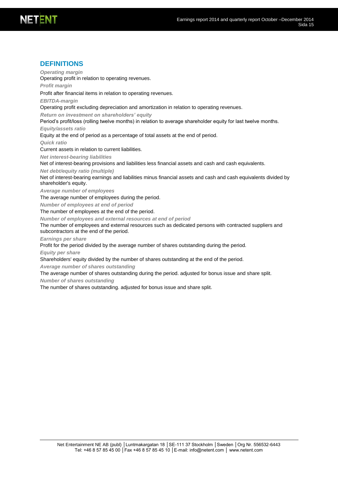### **DEFINITIONS**

*Operating margin* Operating profit in relation to operating revenues.

*Profit margin*

Profit after financial items in relation to operating revenues.

*EBITDA-margin*

Operating profit excluding depreciation and amortization in relation to operating revenues.

*Return on investment on shareholders' equity* 

Period's profit/loss (rolling twelve months) in relation to average shareholder equity for last twelve months.

*Equity/assets ratio*

Equity at the end of period as a percentage of total assets at the end of period.

*Quick ratio*

Current assets in relation to current liabilities.

*Net interest-bearing liabilities*

Net of interest-bearing provisions and liabilities less financial assets and cash and cash equivalents.

*Net debt/equity ratio (multiple)*

Net of interest-bearing earnings and liabilities minus financial assets and cash and cash equivalents divided by shareholder's equity.

*Average number of employees*

The average number of employees during the period.

*Number of employees at end of period*

The number of employees at the end of the period.

*Number of employees and external resources at end of period*

The number of employees and external resources such as dedicated persons with contracted suppliers and subcontractors at the end of the period.

*Earnings per share*

Profit for the period divided by the average number of shares outstanding during the period.

*Equity per share*

Shareholders' equity divided by the number of shares outstanding at the end of the period.

*Average number of shares outstanding*

The average number of shares outstanding during the period. adjusted for bonus issue and share split.

*Number of shares outstanding*

The number of shares outstanding. adjusted for bonus issue and share split*.*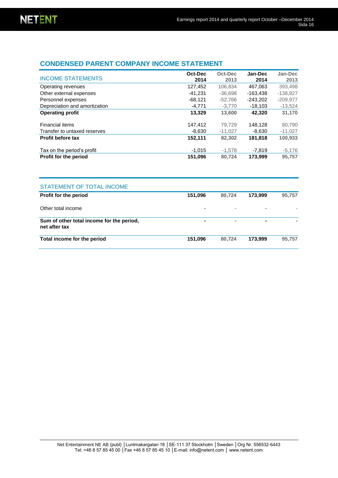### **CONDENSED PARENT COMPANY INCOME STATEMENT**

| <b>INCOME STATEMENTS</b>      | Oct-Dec<br>2014 | Oct-Dec<br>2013 | Jan-Dec<br>2014 | Jan-Dec<br>2013 |
|-------------------------------|-----------------|-----------------|-----------------|-----------------|
| Operating revenues            | 127,452         | 106.834         | 467.063         | 393.498         |
| Other external expenses       | $-41.231$       | $-36.698$       | $-163.438$      | $-138.827$      |
| Personnel expenses            | $-68,121$       | $-52.766$       | $-243.202$      | $-209,977$      |
| Depreciation and amortization | $-4.771$        | $-3.770$        | $-18.103$       | $-13,524$       |
| <b>Operating profit</b>       | 13.329          | 13,600          | 42.320          | 31,170          |
| Financial items               | 147,412         | 79.729          | 148.128         | 80,790          |
| Transfer to untaxed reserves  | $-8,630$        | $-11,027$       | $-8,630$        | $-11,027$       |
| <b>Profit before tax</b>      | 152,111         | 82.302          | 181.818         | 100,933         |
| Tax on the period's profit    | $-1,015$        | $-1,578$        | -7,819          | $-5,176$        |
| Profit for the period         | 151,096         | 80,724          | 173,999         | 95,757          |

| STATEMENT OF TOTAL INCOME                                  |                |                          |                          |        |
|------------------------------------------------------------|----------------|--------------------------|--------------------------|--------|
| <b>Profit for the period</b>                               | 151,096        | 80.724                   | 173.999                  | 95,757 |
| Other total income                                         |                | $\overline{\phantom{a}}$ | $\overline{\phantom{0}}$ |        |
| Sum of other total income for the period,<br>net after tax | $\blacksquare$ | $\blacksquare$           | ۰                        |        |
| Total income for the period                                | 151,096        | 80.724                   | 173.999                  | 95.757 |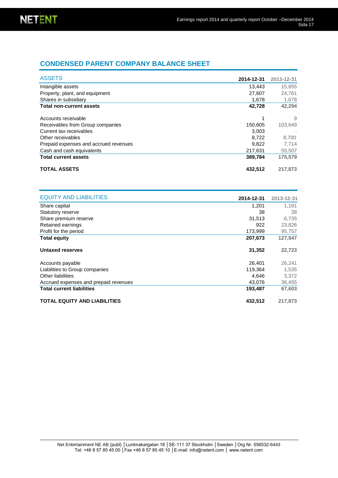### **CONDENSED PARENT COMPANY BALANCE SHEET**

| <b>ASSETS</b>                         | 2014-12-31 | 2013-12-31 |
|---------------------------------------|------------|------------|
| Intangible assets                     | 13,443     | 15,855     |
| Property, plant, and equipment        | 27,607     | 24,761     |
| Shares in subsidiary                  | 1,678      | 1,678      |
| <b>Total non-current assets</b>       | 42,728     | 42,294     |
| Accounts receivable                   |            | 9          |
| Receivables from Group companies      | 150,605    | 103,649    |
| Current tax receivables               | 3.003      |            |
| Other receivables                     | 8.722      | 8.700      |
| Prepaid expenses and accrued revenues | 9.822      | 7,714      |
| Cash and cash equivalents             | 217.631    | 55,507     |
| <b>Total current assets</b>           | 389,784    | 175,579    |
| <b>TOTAL ASSETS</b>                   | 432,512    | 217,873    |

| <b>EQUITY AND LIABILITIES</b>         | 2014-12-31 | 2013-12-31 |
|---------------------------------------|------------|------------|
| Share capital                         | 1,201      | 1.191      |
| <b>Statutory reserve</b>              | 38         | 38         |
| Share premium reserve                 | 31,513     | 6,735      |
| Retained earnings                     | 922        | 23,826     |
| Profit for the period                 | 173,999    | 95,757     |
| <b>Total equity</b>                   | 207,673    | 127,547    |
| Untaxed reserves                      | 31,352     | 22,723     |
| Accounts payable                      | 26,401     | 26,241     |
| Liabilities to Group companies        | 119.364    | 1,535      |
| Other liabilities                     | 4,646      | 3,372      |
| Accrued expenses and prepaid revenues | 43,076     | 36,455     |
| <b>Total current liabilities</b>      | 193,487    | 67,603     |
| <b>TOTAL EQUITY AND LIABILITIES</b>   | 432,512    | 217,873    |